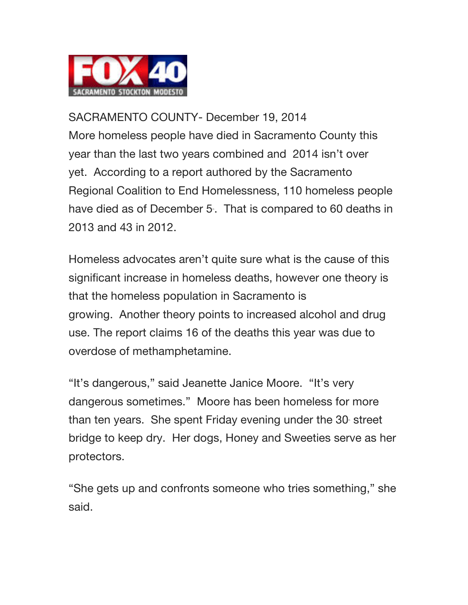

SACRAMENTO COUNTY- December 19, 2014 More homeless people have died in Sacramento County this year than the last two years combined and 2014 isn't over yet. According to a report authored by the Sacramento Regional Coalition to End Homelessness, 110 homeless people have died as of December 5. That is compared to 60 deaths in 2013 and 43 in 2012.

Homeless advocates aren't quite sure what is the cause of this significant increase in homeless deaths, however one theory is that the homeless population in Sacramento is growing. Another theory points to increased alcohol and drug use. The report claims 16 of the deaths this year was due to overdose of methamphetamine.

"It's dangerous," said Jeanette Janice Moore. "It's very dangerous sometimes." Moore has been homeless for more than ten years. She spent Friday evening under the 30 street bridge to keep dry. Her dogs, Honey and Sweeties serve as her protectors.

"She gets up and confronts someone who tries something," she said.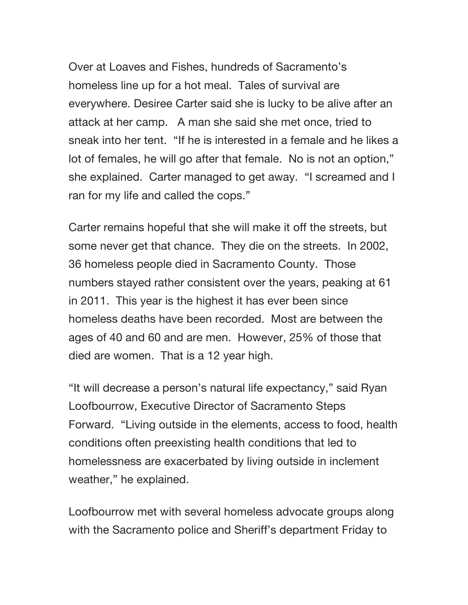Over at Loaves and Fishes, hundreds of Sacramento's homeless line up for a hot meal. Tales of survival are everywhere. Desiree Carter said she is lucky to be alive after an attack at her camp. A man she said she met once, tried to sneak into her tent. "If he is interested in a female and he likes a lot of females, he will go after that female. No is not an option," she explained. Carter managed to get away. "I screamed and I ran for my life and called the cops."

Carter remains hopeful that she will make it off the streets, but some never get that chance. They die on the streets. In 2002, 36 homeless people died in Sacramento County. Those numbers stayed rather consistent over the years, peaking at 61 in 2011. This year is the highest it has ever been since homeless deaths have been recorded. Most are between the ages of 40 and 60 and are men. However, 25% of those that died are women. That is a 12 year high.

"It will decrease a person's natural life expectancy," said Ryan Loofbourrow, Executive Director of Sacramento Steps Forward. "Living outside in the elements, access to food, health conditions often preexisting health conditions that led to homelessness are exacerbated by living outside in inclement weather," he explained.

Loofbourrow met with several homeless advocate groups along with the Sacramento police and Sheriff's department Friday to